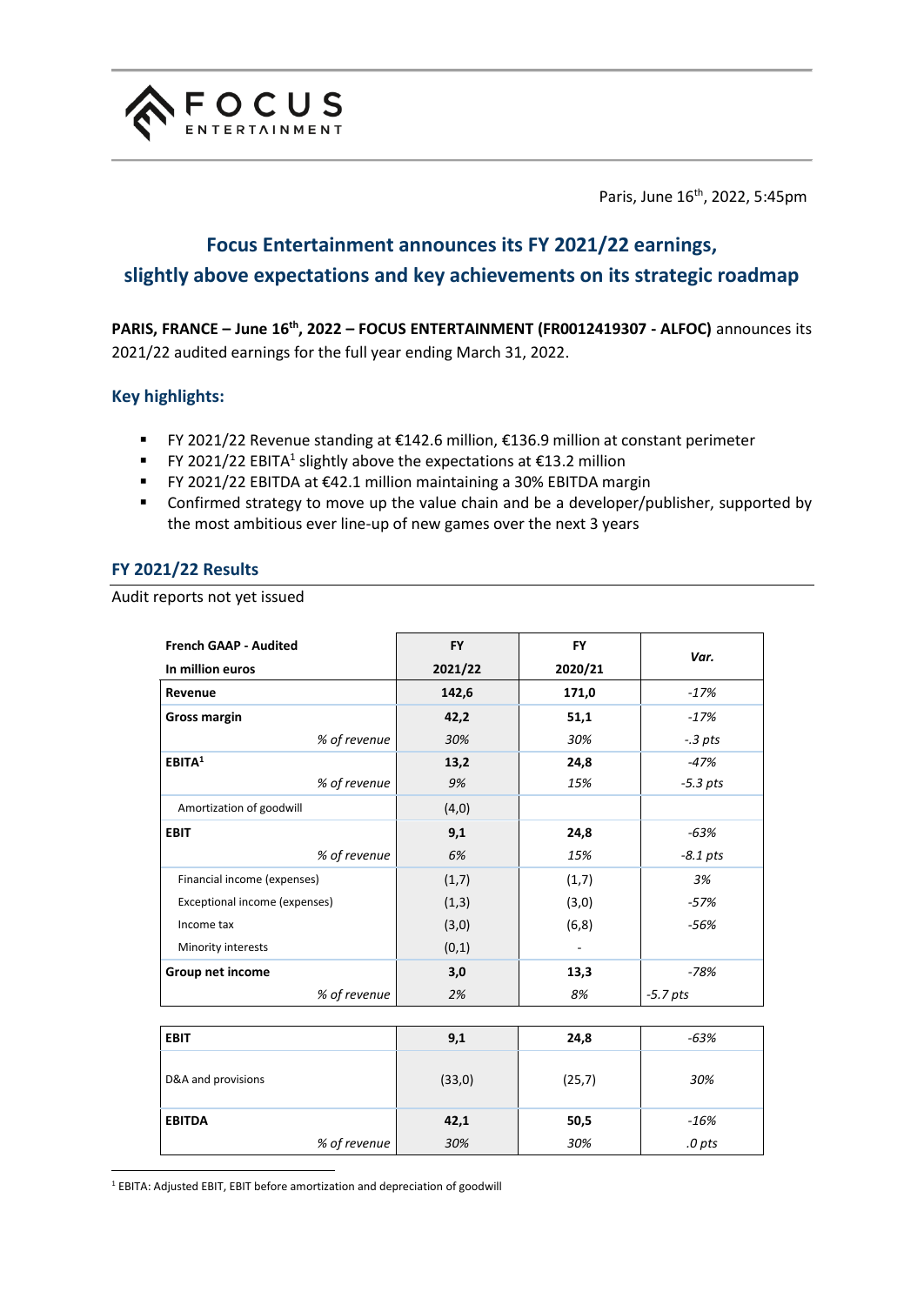

Paris, June 16<sup>th</sup>, 2022, 5:45pm

# **Focus Entertainment announces its FY 2021/22 earnings, slightly above expectations and key achievements on its strategic roadmap**

**PARIS, FRANCE – June 16th, 2022 – FOCUS ENTERTAINMENT (FR0012419307 - ALFOC)** announces its 2021/22 audited earnings for the full year ending March 31, 2022.

# **Key highlights:**

- FY 2021/22 Revenue standing at €142.6 million, €136.9 million at constant perimeter
- **FY 2021/22 EBITA<sup>1</sup> slightly above the expectations at £13.2 million**
- FY 2021/22 EBITDA at €42.1 million maintaining a 30% EBITDA margin
- Confirmed strategy to move up the value chain and be a developer/publisher, supported by the most ambitious ever line-up of new games over the next 3 years

# **FY 2021/22 Results**

Audit reports not yet issued

| <b>French GAAP - Audited</b>  | <b>FY</b> | <b>FY</b> | Var.       |
|-------------------------------|-----------|-----------|------------|
| In million euros              | 2021/22   | 2020/21   |            |
| Revenue                       | 142,6     | 171,0     | $-17%$     |
| <b>Gross margin</b>           | 42,2      | 51,1      | $-17%$     |
| % of revenue                  | 30%       | 30%       | $-3$ pts   |
| EBITA <sup>1</sup>            | 13,2      | 24,8      | -47%       |
| % of revenue                  | 9%        | 15%       | $-5.3$ pts |
| Amortization of goodwill      | (4, 0)    |           |            |
| <b>EBIT</b>                   | 9,1       | 24,8      | -63%       |
| % of revenue                  | 6%        | 15%       | $-8.1$ pts |
| Financial income (expenses)   | (1,7)     | (1,7)     | 3%         |
| Exceptional income (expenses) | (1,3)     | (3,0)     | -57%       |
| Income tax                    | (3,0)     | (6, 8)    | $-56%$     |
| Minority interests            | (0,1)     |           |            |
| Group net income              | 3,0       | 13,3      | $-78%$     |
| % of revenue                  | 2%        | 8%        | $-5.7$ pts |
|                               |           |           |            |

| <b>EBIT</b>        | 9,1    | 24,8   | $-63%$ |
|--------------------|--------|--------|--------|
| D&A and provisions | (33,0) | (25,7) | 30%    |
| <b>EBITDA</b>      | 42,1   | 50,5   | -16%   |
| % of revenue       | 30%    | 30%    | .0 pts |

<sup>1</sup> EBITA: Adjusted EBIT, EBIT before amortization and depreciation of goodwill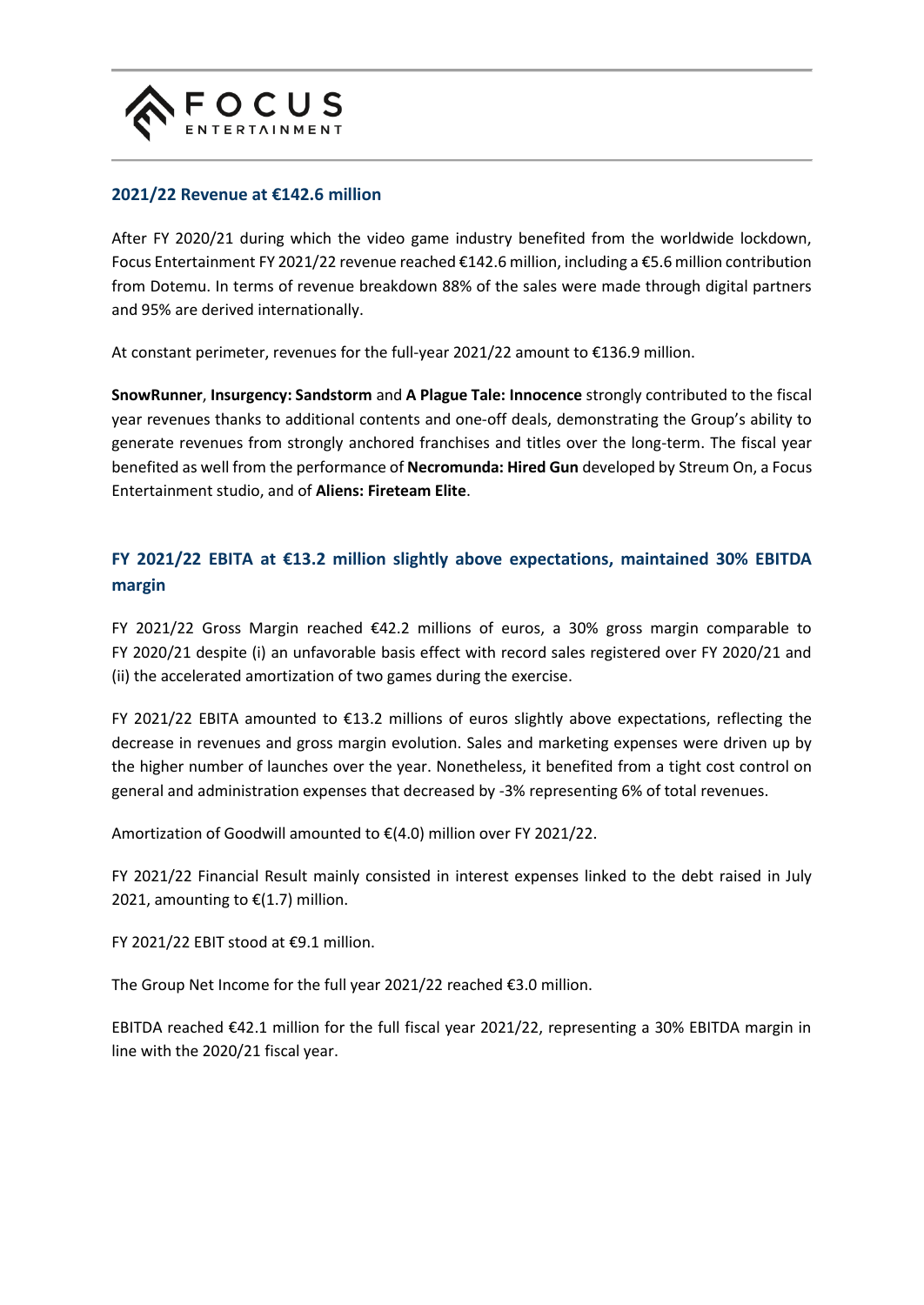

# **2021/22 Revenue at €142.6 million**

After FY 2020/21 during which the video game industry benefited from the worldwide lockdown, Focus Entertainment FY 2021/22 revenue reached €142.6 million, including a €5.6 million contribution from Dotemu. In terms of revenue breakdown 88% of the sales were made through digital partners and 95% are derived internationally.

At constant perimeter, revenues for the full-year 2021/22 amount to €136.9 million.

**SnowRunner**, **Insurgency: Sandstorm** and **A Plague Tale: Innocence** strongly contributed to the fiscal year revenues thanks to additional contents and one-off deals, demonstrating the Group's ability to generate revenues from strongly anchored franchises and titles over the long-term. The fiscal year benefited as well from the performance of **Necromunda: Hired Gun** developed by Streum On, a Focus Entertainment studio, and of **Aliens: Fireteam Elite**.

# **FY 2021/22 EBITA at €13.2 million slightly above expectations, maintained 30% EBITDA margin**

FY 2021/22 Gross Margin reached €42.2 millions of euros, a 30% gross margin comparable to FY 2020/21 despite (i) an unfavorable basis effect with record sales registered over FY 2020/21 and (ii) the accelerated amortization of two games during the exercise.

FY 2021/22 EBITA amounted to €13.2 millions of euros slightly above expectations, reflecting the decrease in revenues and gross margin evolution. Sales and marketing expenses were driven up by the higher number of launches over the year. Nonetheless, it benefited from a tight cost control on general and administration expenses that decreased by -3% representing 6% of total revenues.

Amortization of Goodwill amounted to €(4.0) million over FY 2021/22.

FY 2021/22 Financial Result mainly consisted in interest expenses linked to the debt raised in July 2021, amounting to  $E(1.7)$  million.

FY 2021/22 EBIT stood at €9.1 million.

The Group Net Income for the full year 2021/22 reached €3.0 million.

EBITDA reached €42.1 million for the full fiscal year 2021/22, representing a 30% EBITDA margin in line with the 2020/21 fiscal year.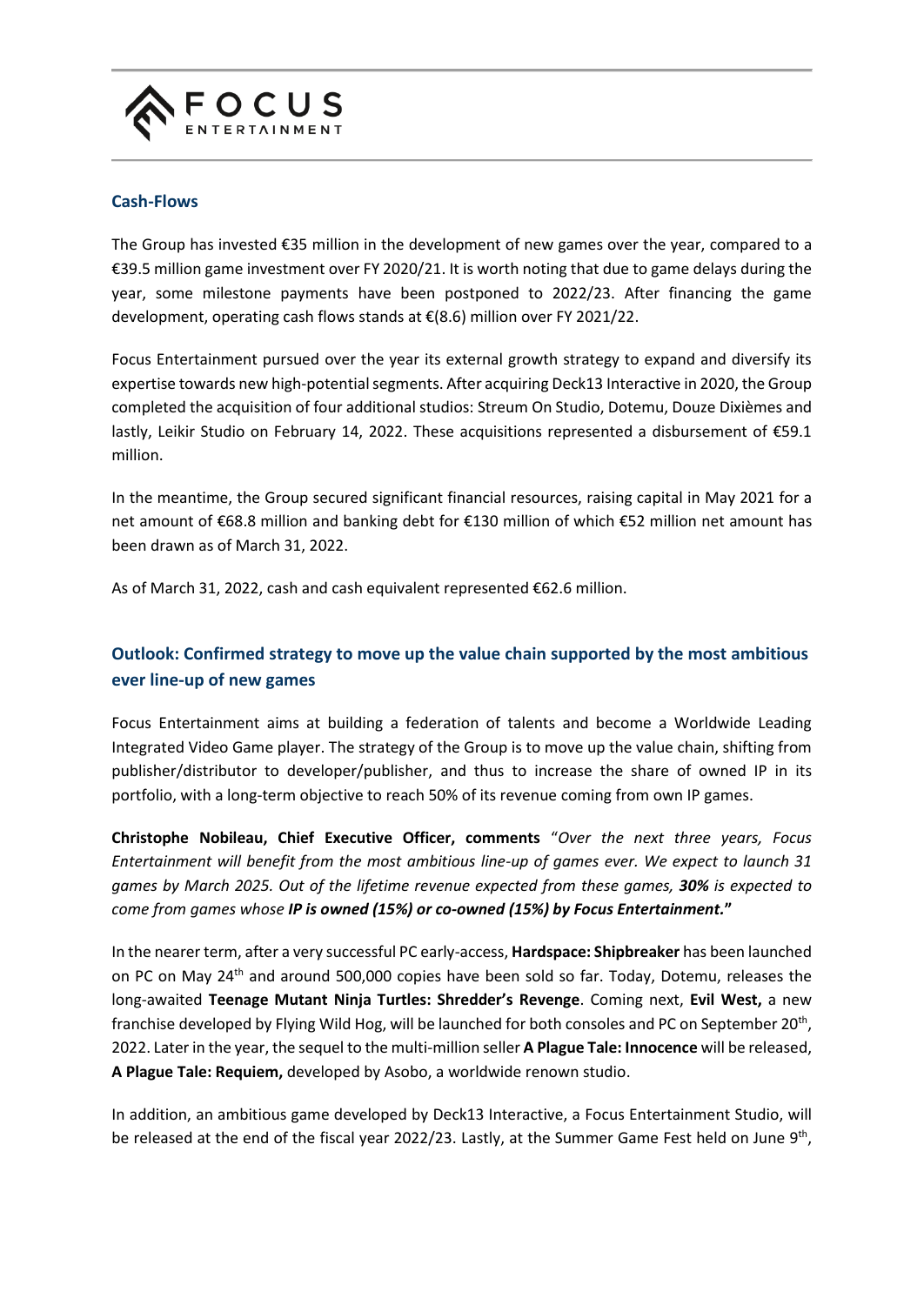

### **Cash-Flows**

The Group has invested €35 million in the development of new games over the year, compared to a €39.5 million game investment over FY 2020/21. It is worth noting that due to game delays during the year, some milestone payments have been postponed to 2022/23. After financing the game development, operating cash flows stands at €(8.6) million over FY 2021/22.

Focus Entertainment pursued over the year its external growth strategy to expand and diversify its expertise towards new high-potential segments. After acquiring Deck13 Interactive in 2020, the Group completed the acquisition of four additional studios: Streum On Studio, Dotemu, Douze Dixièmes and lastly, Leikir Studio on February 14, 2022. These acquisitions represented a disbursement of €59.1 million.

In the meantime, the Group secured significant financial resources, raising capital in May 2021 for a net amount of €68.8 million and banking debt for €130 million of which €52 million net amount has been drawn as of March 31, 2022.

As of March 31, 2022, cash and cash equivalent represented €62.6 million.

# **Outlook: Confirmed strategy to move up the value chain supported by the most ambitious ever line-up of new games**

Focus Entertainment aims at building a federation of talents and become a Worldwide Leading Integrated Video Game player. The strategy of the Group is to move up the value chain, shifting from publisher/distributor to developer/publisher, and thus to increase the share of owned IP in its portfolio, with a long-term objective to reach 50% of its revenue coming from own IP games.

**Christophe Nobileau, Chief Executive Officer, comments** "*Over the next three years, Focus Entertainment will benefit from the most ambitious line-up of games ever. We expect to launch 31 games by March 2025. Out of the lifetime revenue expected from these games, 30% is expected to come from games whose IP is owned (15%) or co-owned (15%) by Focus Entertainment.***"**

In the nearer term, after a very successful PC early-access, **Hardspace: Shipbreaker** has been launched on PC on May 24th and around 500,000 copies have been sold so far. Today, Dotemu, releases the long-awaited **Teenage Mutant Ninja Turtles: Shredder's Revenge**. Coming next, **Evil West,** a new franchise developed by Flying Wild Hog, will be launched for both consoles and PC on September 20<sup>th</sup>, 2022. Later in the year, the sequel to the multi-million seller **A Plague Tale: Innocence** will be released, **A Plague Tale: Requiem,** developed by Asobo, a worldwide renown studio.

In addition, an ambitious game developed by Deck13 Interactive, a Focus Entertainment Studio, will be released at the end of the fiscal year 2022/23. Lastly, at the Summer Game Fest held on June 9<sup>th</sup>,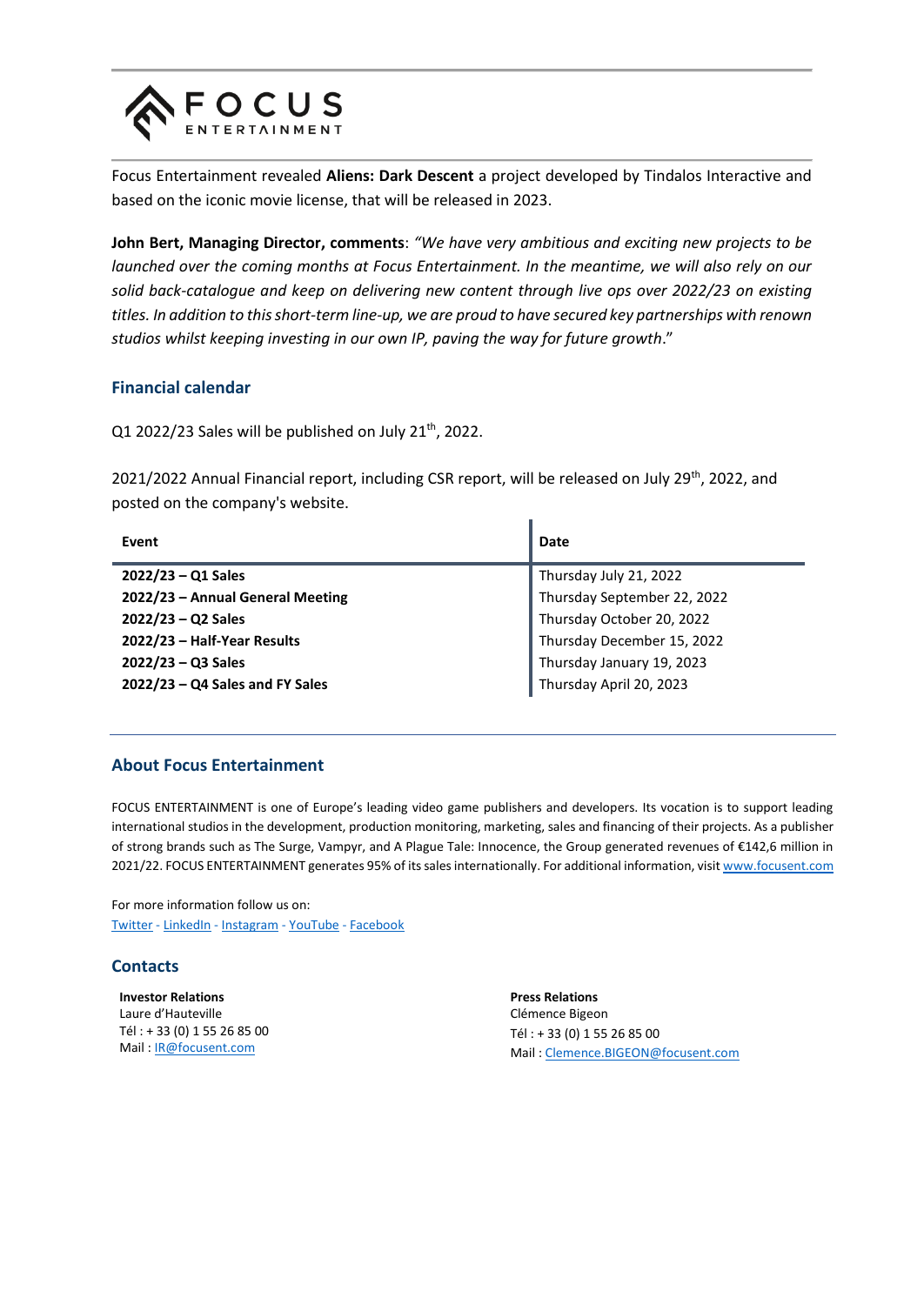

Focus Entertainment revealed **Aliens: Dark Descent** a project developed by Tindalos Interactive and based on the iconic movie license, that will be released in 2023.

**John Bert, Managing Director, comments**: *"We have very ambitious and exciting new projects to be launched over the coming months at Focus Entertainment. In the meantime, we will also rely on our solid back-catalogue and keep on delivering new content through live ops over 2022/23 on existing titles. In addition to this short-term line-up, we are proud to have secured key partnerships with renown studios whilst keeping investing in our own IP, paving the way for future growth*."

#### **Financial calendar**

Q1 2022/23 Sales will be published on July 21<sup>th</sup>, 2022.

2021/2022 Annual Financial report, including CSR report, will be released on July 29<sup>th</sup>, 2022, and posted on the company's website.

| Event                             | Date                        |
|-----------------------------------|-----------------------------|
| $2022/23 - Q1$ Sales              | Thursday July 21, 2022      |
| 2022/23 - Annual General Meeting  | Thursday September 22, 2022 |
| $2022/23 - Q2$ Sales              | Thursday October 20, 2022   |
| 2022/23 - Half-Year Results       | Thursday December 15, 2022  |
| $2022/23 - Q3$ Sales              | Thursday January 19, 2023   |
| $2022/23 - Q4$ Sales and FY Sales | Thursday April 20, 2023     |

#### **About Focus Entertainment**

FOCUS ENTERTAINMENT is one of Europe's leading video game publishers and developers. Its vocation is to support leading international studios in the development, production monitoring, marketing, sales and financing of their projects. As a publisher of strong brands such as The Surge, Vampyr, and A Plague Tale: Innocence, the Group generated revenues of €142,6 million in 2021/22. FOCUS ENTERTAINMENT generates 95% of its sales internationally. For additional information, visi[t www.focusent.com](http://www.focusent.com/)

For more information follow us on: [Twitter](https://twitter.com/Focus_entmt) - [LinkedIn](https://www.linkedin.com/company/focusentertainment/mycompany/) - [Instagram](http://www.instagram.com/focus_entmt) - [YouTube](https://www.youtube.com/channel/UCaLdl0827np4QVPESo794og) - [Facebook](https://www.facebook.com/FocusEntertainmentOfficial)

# **Contacts**

**Investor Relations** Laure d'Hauteville Tél : + 33 (0) 1 55 26 85 00 Mail : [IR@focusent.com](mailto:IR@focusent.com)

**Press Relations** Clémence Bigeon Tél : + 33 (0) 1 55 26 85 00 Mail : [Clemence.BIGEON@focusent.com](mailto:Clemence.BIGEON@focusent.com)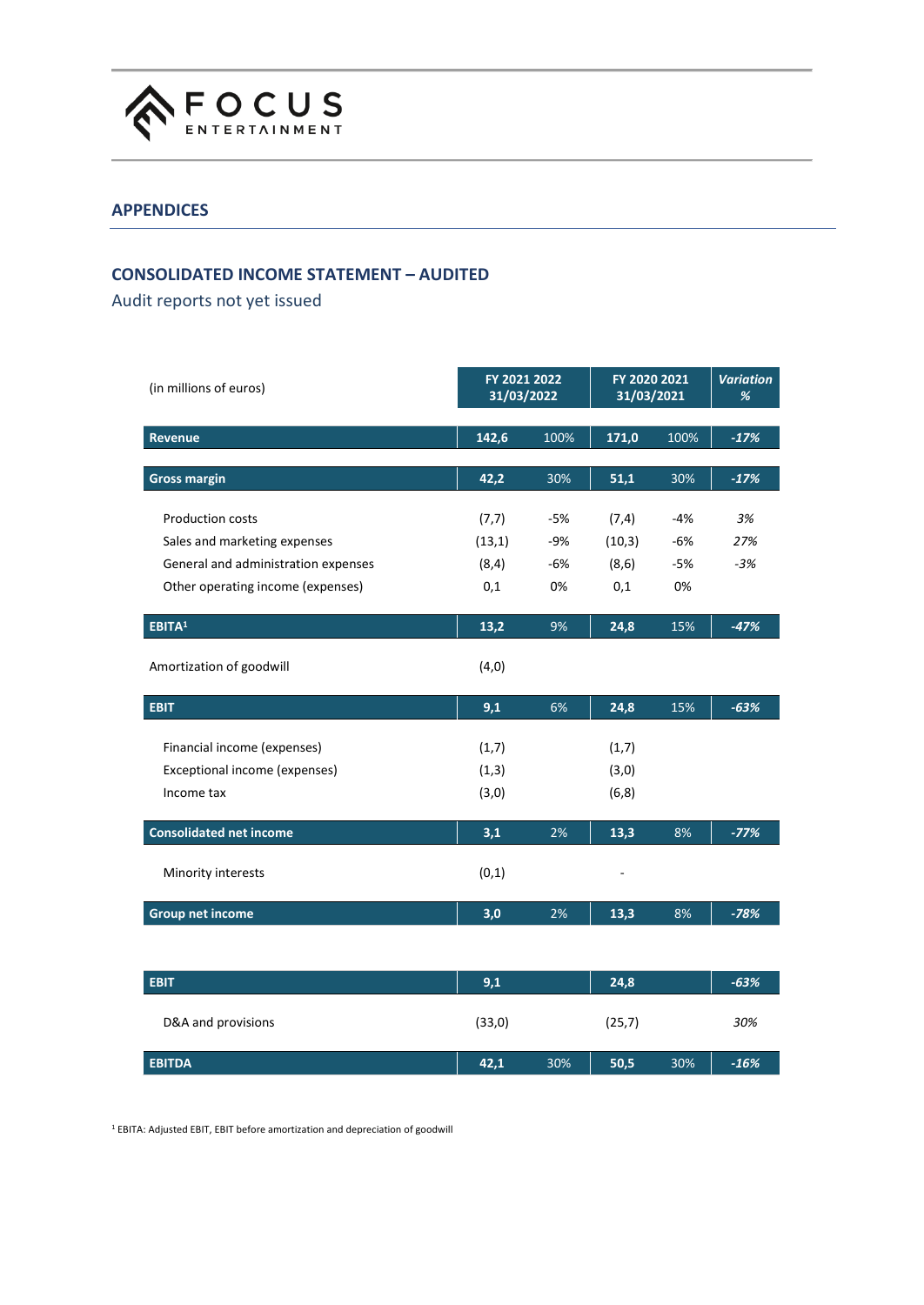

### **APPENDICES**

# **CONSOLIDATED INCOME STATEMENT – AUDITED**

Audit reports not yet issued

| (in millions of euros)              |        | FY 2021 2022<br>31/03/2022 |                    | FY 2020 2021<br>31/03/2021 |        |
|-------------------------------------|--------|----------------------------|--------------------|----------------------------|--------|
| <b>Revenue</b>                      | 142,6  | 100%                       | $\overline{171,0}$ | 100%                       | $-17%$ |
| <b>Gross margin</b>                 | 42,2   | 30%                        | 51,1               | 30%                        | $-17%$ |
| <b>Production costs</b>             | (7,7)  | -5%                        | (7, 4)             | -4%                        | 3%     |
| Sales and marketing expenses        | (13,1) | $-9%$                      | (10,3)             | $-6%$                      | 27%    |
| General and administration expenses | (8, 4) | $-6%$                      | (8, 6)             | $-5%$                      | $-3%$  |
| Other operating income (expenses)   | 0,1    | 0%                         | 0,1                | 0%                         |        |
| EBITA <sup>1</sup>                  | 13,2   | 9%                         | 24,8               | 15%                        | $-47%$ |
| Amortization of goodwill            | (4,0)  |                            |                    |                            |        |
| <b>EBIT</b>                         | 9,1    | 6%                         | 24,8               | 15%                        | $-63%$ |
| Financial income (expenses)         | (1,7)  |                            | (1,7)              |                            |        |
| Exceptional income (expenses)       | (1,3)  |                            | (3,0)              |                            |        |
| Income tax                          | (3,0)  |                            | (6, 8)             |                            |        |
| <b>Consolidated net income</b>      | 3,1    | 2%                         | 13,3               | 8%                         | $-77%$ |
| Minority interests                  | (0,1)  |                            |                    |                            |        |
| <b>Group net income</b>             | 3,0    | 2%                         | 13,3               | 8%                         | $-78%$ |
|                                     |        |                            |                    |                            |        |
| <b>EBIT</b>                         | 9,1    |                            | 24,8               |                            | $-63%$ |
| D&A and provisions                  | (33,0) |                            | (25,7)             |                            | 30%    |
| <b>EBITDA</b>                       | 42,1   | 30%                        | 50,5               | 30%                        | $-16%$ |

<sup>1</sup> EBITA: Adjusted EBIT, EBIT before amortization and depreciation of goodwill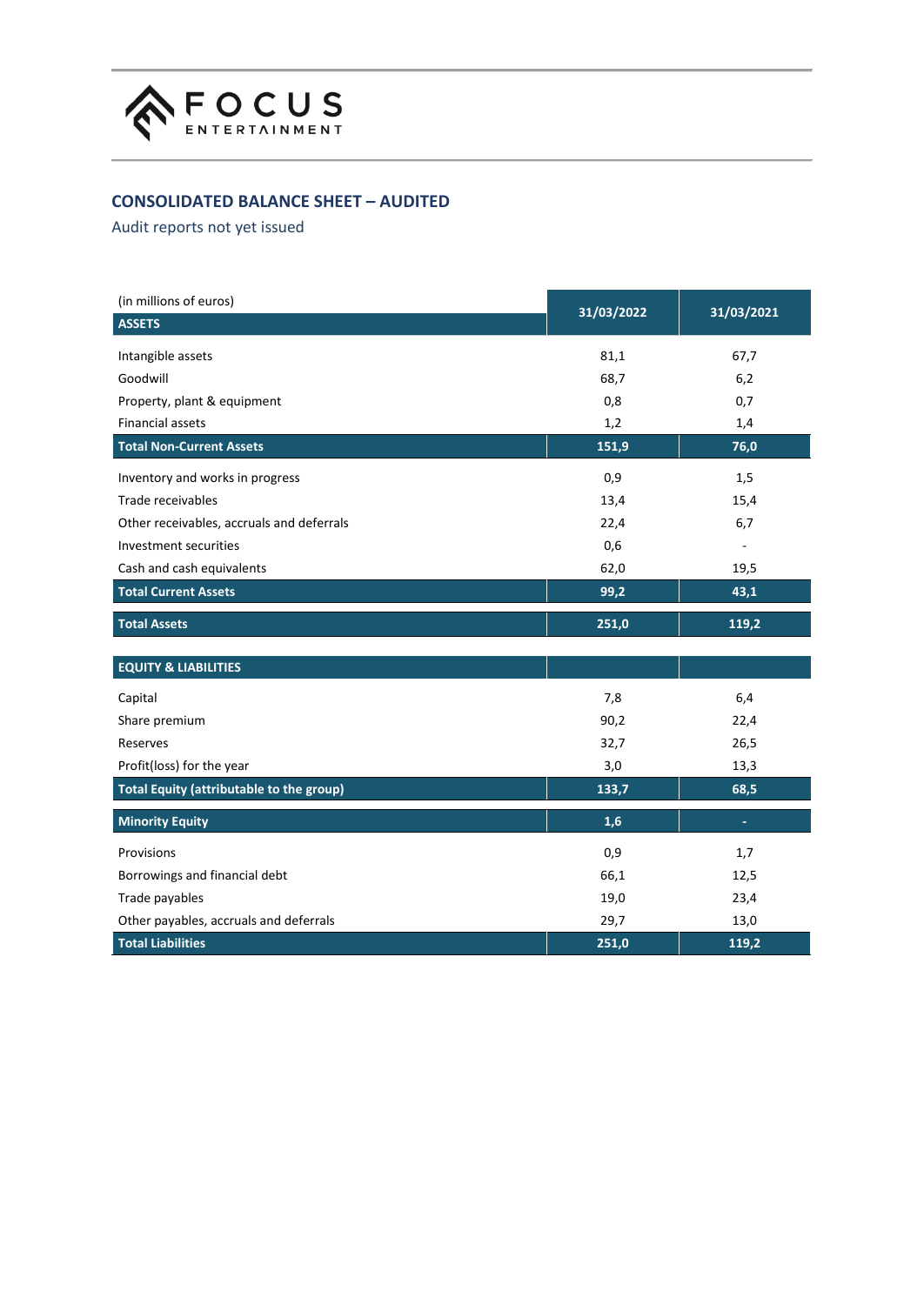

# **CONSOLIDATED BALANCE SHEET – AUDITED**

Audit reports not yet issued

| (in millions of euros)                          |            |            |  |
|-------------------------------------------------|------------|------------|--|
| <b>ASSETS</b>                                   | 31/03/2022 | 31/03/2021 |  |
| Intangible assets                               | 81,1       | 67,7       |  |
| Goodwill                                        | 68,7       | 6,2        |  |
| Property, plant & equipment                     | 0,8        | 0,7        |  |
| <b>Financial assets</b>                         | 1,2        | 1,4        |  |
| <b>Total Non-Current Assets</b>                 | 151,9      | 76,0       |  |
| Inventory and works in progress                 | 0,9        | 1,5        |  |
| Trade receivables                               | 13,4       | 15,4       |  |
| Other receivables, accruals and deferrals       | 22,4       | 6,7        |  |
| Investment securities                           | 0,6        |            |  |
| Cash and cash equivalents                       | 62,0       | 19,5       |  |
| <b>Total Current Assets</b>                     | 99,2       | 43,1       |  |
| <b>Total Assets</b>                             | 251,0      | 119,2      |  |
| <b>EQUITY &amp; LIABILITIES</b>                 |            |            |  |
| Capital                                         | 7,8        | 6,4        |  |
| Share premium                                   | 90,2       | 22,4       |  |
| Reserves                                        | 32,7       | 26,5       |  |
| Profit(loss) for the year                       | 3,0        | 13,3       |  |
| <b>Total Equity (attributable to the group)</b> | 133,7      | 68,5       |  |
| <b>Minority Equity</b>                          | 1,6        | ÷          |  |
| Provisions                                      | 0,9        | 1,7        |  |
| Borrowings and financial debt                   | 66,1       | 12,5       |  |
| Trade payables                                  | 19,0       | 23,4       |  |
| Other payables, accruals and deferrals          | 29,7       | 13,0       |  |
| <b>Total Liabilities</b>                        | 251,0      | 119,2      |  |